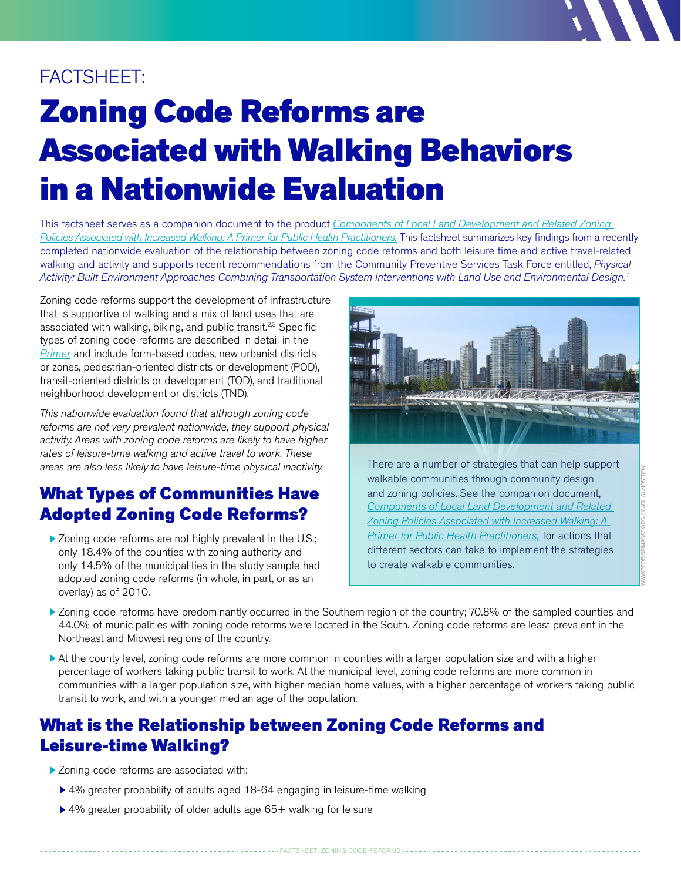# FACTSHEET:

# Zoning Code Reforms are Associated with Walking Behaviors in a Nationwide Evaluation

This factsheet serves as a companion document to the product *[Components of Local Land Development and Related Zoning](go.uic.edu/zoningprimer)  [Policies Associated with Increased Walking: A Primer for Public Health Practitioners.](go.uic.edu/zoningprimer)* This factsheet summarizes key findings from a recently completed nationwide evaluation of the relationship between zoning code reforms and both leisure time and active travel-related walking and activity and supports recent recommendations from the Community Preventive Services Task Force entitled, *Physical Activity: Built Environment Approaches Combining Transportation System Interventions with Land Use and Environmental Design.1*

Zoning code reforms support the development of infrastructure that is supportive of walking and a mix of land uses that are associated with walking, biking, and public transit.<sup>2,3</sup> Specific types of zoning code reforms are described in detail in the *[Primer](go.uic.edu/zoningprimer)* and include form-based codes, new urbanist districts or zones, pedestrian-oriented districts or development (POD), transit-oriented districts or development (TOD), and traditional neighborhood development or districts (TND).

*This nationwide evaluation found that although zoning code reforms are not very prevalent nationwide, they support physical activity. Areas with zoning code reforms are likely to have higher rates of leisure-time walking and active travel to work. These areas are also less likely to have leisure-time physical inactivity.* 

## What Types of Communities Have Adopted Zoning Code Reforms?

 $\triangleright$  Zoning code reforms are not highly prevalent in the U.S.; only 18.4% of the counties with zoning authority and only 14.5% of the municipalities in the study sample had adopted zoning code reforms (in whole, in part, or as an overlay) as of 2010.



There are a number of strategies that can help support walkable communities through community design and zoning policies. See the companion document, *[Components of Local Land Development and Related](go.uic.edu/zoningprimer)  [Zoning Policies Associated with Increased Walking: A](go.uic.edu/zoningprimer)  [Primer for Public Health Practitioners,](go.uic.edu/zoningprimer)* for actions that different sectors can take to implement the strategies to create walkable communities.

- Zoning code reforms have predominantly occurred in the Southern region of the country; 70.8% of the sampled counties and 44.0% of municipalities with zoning code reforms were located in the South. Zoning code reforms are least prevalent in the Northeast and Midwest regions of the country.
- At the county level, zoning code reforms are more common in counties with a larger population size and with a higher percentage of workers taking public transit to work. At the municipal level, zoning code reforms are more common in communities with a larger population size, with higher median home values, with a higher percentage of workers taking public transit to work, and with a younger median age of the population.

----- FACTSHEET: ZONING CODE REFORMS ---------

#### What is the Relationship between Zoning Code Reforms and Leisure-time Walking?

- Zoning code reforms are associated with:
	- ▶ 4% greater probability of adults aged 18-64 engaging in leisure-time walking
	- ▶ 4% greater probability of older adults age 65+ walking for leisure